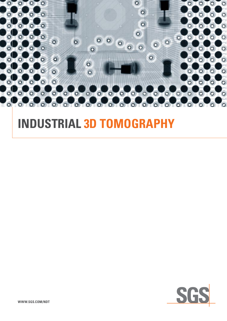

# **Industrial 3D Tomography**